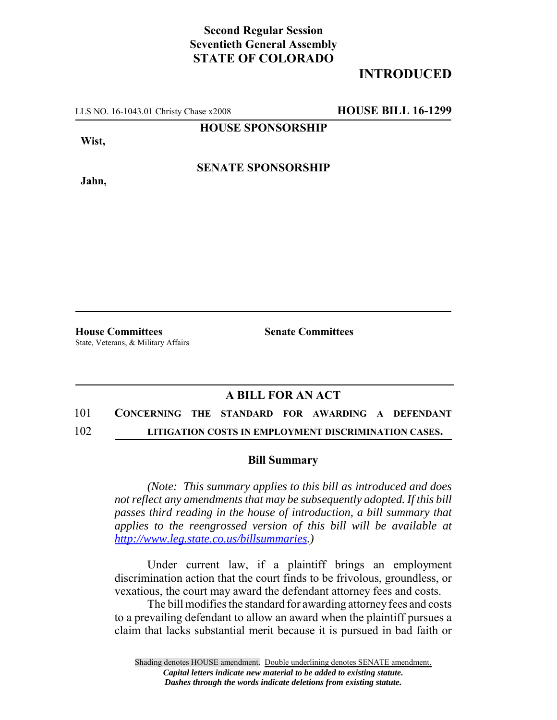### **Second Regular Session Seventieth General Assembly STATE OF COLORADO**

## **INTRODUCED**

LLS NO. 16-1043.01 Christy Chase x2008 **HOUSE BILL 16-1299**

**HOUSE SPONSORSHIP**

**Wist,**

**SENATE SPONSORSHIP**

**Jahn,**

**House Committees Senate Committees** State, Veterans, & Military Affairs

### **A BILL FOR AN ACT**

# 101 **CONCERNING THE STANDARD FOR AWARDING A DEFENDANT**

102 **LITIGATION COSTS IN EMPLOYMENT DISCRIMINATION CASES.**

#### **Bill Summary**

*(Note: This summary applies to this bill as introduced and does not reflect any amendments that may be subsequently adopted. If this bill passes third reading in the house of introduction, a bill summary that applies to the reengrossed version of this bill will be available at http://www.leg.state.co.us/billsummaries.)*

Under current law, if a plaintiff brings an employment discrimination action that the court finds to be frivolous, groundless, or vexatious, the court may award the defendant attorney fees and costs.

The bill modifies the standard for awarding attorney fees and costs to a prevailing defendant to allow an award when the plaintiff pursues a claim that lacks substantial merit because it is pursued in bad faith or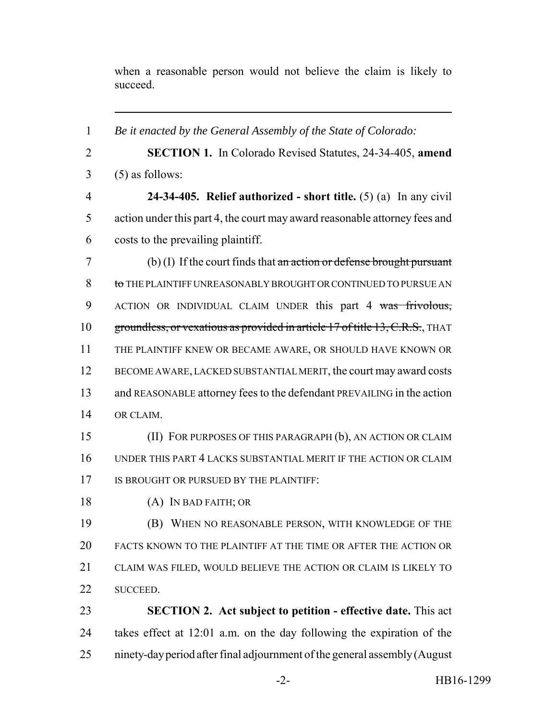when a reasonable person would not believe the claim is likely to succeed.

 *Be it enacted by the General Assembly of the State of Colorado:* **SECTION 1.** In Colorado Revised Statutes, 24-34-405, **amend**  $3 \quad (5)$  as follows: **24-34-405. Relief authorized - short title.** (5) (a) In any civil action under this part 4, the court may award reasonable attorney fees and costs to the prevailing plaintiff. (b) (I) If the court finds that an action or defense brought pursuant 8 to THE PLAINTIFF UNREASONABLY BROUGHT OR CONTINUED TO PURSUE AN 9 ACTION OR INDIVIDUAL CLAIM UNDER this part 4 was frivolous, 10 groundless, or vexatious as provided in article 17 of title 13, C.R.S., THAT THE PLAINTIFF KNEW OR BECAME AWARE, OR SHOULD HAVE KNOWN OR BECOME AWARE, LACKED SUBSTANTIAL MERIT, the court may award costs and REASONABLE attorney fees to the defendant PREVAILING in the action OR CLAIM. (II) FOR PURPOSES OF THIS PARAGRAPH (b), AN ACTION OR CLAIM UNDER THIS PART 4 LACKS SUBSTANTIAL MERIT IF THE ACTION OR CLAIM 17 IS BROUGHT OR PURSUED BY THE PLAINTIFF: (A) IN BAD FAITH; OR (B) WHEN NO REASONABLE PERSON, WITH KNOWLEDGE OF THE FACTS KNOWN TO THE PLAINTIFF AT THE TIME OR AFTER THE ACTION OR CLAIM WAS FILED, WOULD BELIEVE THE ACTION OR CLAIM IS LIKELY TO SUCCEED. **SECTION 2. Act subject to petition - effective date.** This act takes effect at 12:01 a.m. on the day following the expiration of the ninety-day period after final adjournment of the general assembly (August